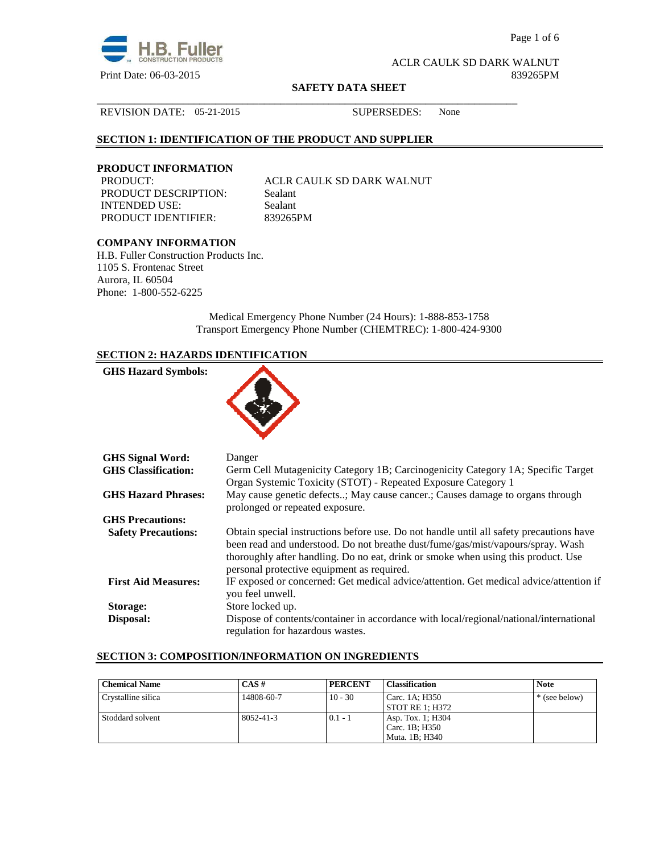

Page 1 of 6

ACLR CAULK SD DARK WALNUT Print Date: 06-03-2015 839265PM

#### **SAFETY DATA SHEET**

\_\_\_\_\_\_\_\_\_\_\_\_\_\_\_\_\_\_\_\_\_\_\_\_\_\_\_\_\_\_\_\_\_\_\_\_\_\_\_\_\_\_\_\_\_\_\_\_\_\_\_\_\_\_\_\_\_\_\_\_\_\_\_\_\_\_\_\_\_\_\_\_\_\_\_\_\_\_

#### REVISION DATE: 05-21-2015 SUPERSEDES: None

# **SECTION 1: IDENTIFICATION OF THE PRODUCT AND SUPPLIER**

# **PRODUCT INFORMATION**

PRODUCT DESCRIPTION: Sealant INTENDED USE: Sealant PRODUCT IDENTIFIER: 839265PM

ACLR CAULK SD DARK WALNUT

# **COMPANY INFORMATION**

H.B. Fuller Construction Products Inc. 1105 S. Frontenac Street Aurora, IL 60504 Phone: 1-800-552-6225

> Medical Emergency Phone Number (24 Hours): 1-888-853-1758 Transport Emergency Phone Number (CHEMTREC): 1-800-424-9300

# **SECTION 2: HAZARDS IDENTIFICATION**

| <b>GHS Hazard Symbols:</b> |                                                                                                                                                   |
|----------------------------|---------------------------------------------------------------------------------------------------------------------------------------------------|
| <b>GHS Signal Word:</b>    | Danger                                                                                                                                            |
| <b>GHS</b> Classification: | Germ Cell Mutagenicity Category 1B; Carcinogenicity Category 1A; Specific Target<br>Organ Systemic Toxicity (STOT) - Repeated Exposure Category 1 |
| <b>GHS Hazard Phrases:</b> | May cause genetic defects; May cause cancer.; Causes damage to organs through<br>prolonged or repeated exposure.                                  |
| <b>GHS Precautions:</b>    |                                                                                                                                                   |

|                            | prolonged or repeated exposure.                                                                                                                                                                                                                                 |
|----------------------------|-----------------------------------------------------------------------------------------------------------------------------------------------------------------------------------------------------------------------------------------------------------------|
| <b>GHS Precautions:</b>    |                                                                                                                                                                                                                                                                 |
| <b>Safety Precautions:</b> | Obtain special instructions before use. Do not handle until all safety precautions have<br>been read and understood. Do not breathe dust/fume/gas/mist/vapours/spray. Wash<br>thoroughly after handling. Do no eat, drink or smoke when using this product. Use |
|                            | personal protective equipment as required.                                                                                                                                                                                                                      |
| <b>First Aid Measures:</b> | IF exposed or concerned: Get medical advice/attention. Get medical advice/attention if<br>you feel unwell.                                                                                                                                                      |
| Storage:                   | Store locked up.                                                                                                                                                                                                                                                |
| Disposal:                  | Dispose of contents/container in accordance with local/regional/national/international<br>regulation for hazardous wastes.                                                                                                                                      |

#### **SECTION 3: COMPOSITION/INFORMATION ON INGREDIENTS**

| <b>Chemical Name</b> | $CAS \#$   | <b>PERCENT</b> | <b>Classification</b> | <b>Note</b>   |
|----------------------|------------|----------------|-----------------------|---------------|
| Crystalline silica   | 14808-60-7 | $10 - 30$      | Carc. 1A: H350        | * (see below) |
|                      |            |                | STOT RE 1; H372       |               |
| Stoddard solvent     | 8052-41-3  | $0.1 - 1$      | Asp. Tox. 1; H304     |               |
|                      |            |                | Carc. 1B: H350        |               |
|                      |            |                | Muta. 1B: H340        |               |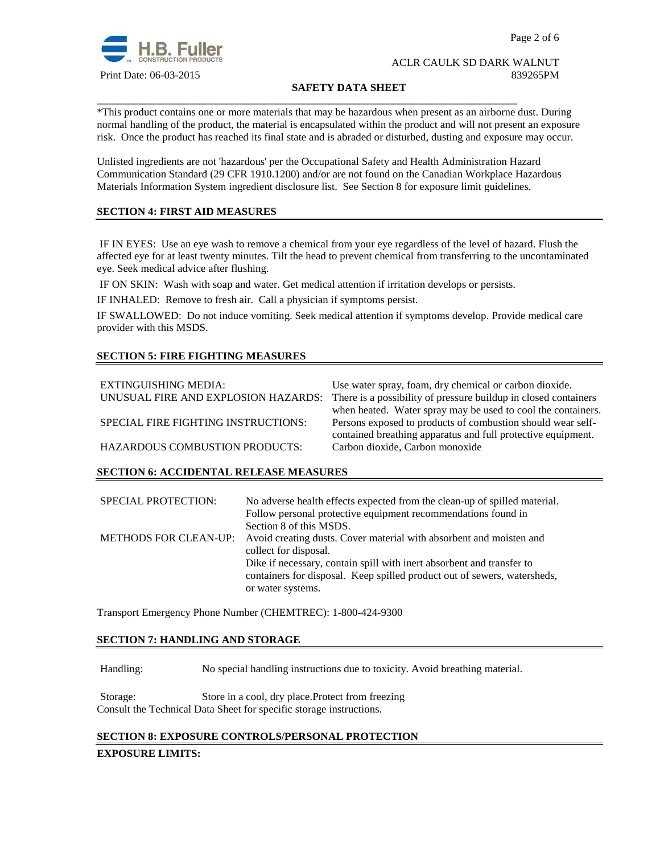

# **SAFETY DATA SHEET**

\*This product contains one or more materials that may be hazardous when present as an airborne dust. During normal handling of the product, the material is encapsulated within the product and will not present an exposure risk. Once the product has reached its final state and is abraded or disturbed, dusting and exposure may occur.

Unlisted ingredients are not 'hazardous' per the Occupational Safety and Health Administration Hazard Communication Standard (29 CFR 1910.1200) and/or are not found on the Canadian Workplace Hazardous Materials Information System ingredient disclosure list. See Section 8 for exposure limit guidelines.

\_\_\_\_\_\_\_\_\_\_\_\_\_\_\_\_\_\_\_\_\_\_\_\_\_\_\_\_\_\_\_\_\_\_\_\_\_\_\_\_\_\_\_\_\_\_\_\_\_\_\_\_\_\_\_\_\_\_\_\_\_\_\_\_\_\_\_\_\_\_\_\_\_\_\_\_\_\_

# **SECTION 4: FIRST AID MEASURES**

 IF IN EYES: Use an eye wash to remove a chemical from your eye regardless of the level of hazard. Flush the affected eye for at least twenty minutes. Tilt the head to prevent chemical from transferring to the uncontaminated eye. Seek medical advice after flushing.

IF ON SKIN: Wash with soap and water. Get medical attention if irritation develops or persists.

IF INHALED: Remove to fresh air. Call a physician if symptoms persist.

IF SWALLOWED:Do not induce vomiting. Seek medical attention if symptoms develop. Provide medical care provider with this MSDS.

# **SECTION 5: FIRE FIGHTING MEASURES**

| EXTINGUISHING MEDIA:<br>UNUSUAL FIRE AND EXPLOSION HAZARDS: | Use water spray, foam, dry chemical or carbon dioxide.<br>There is a possibility of pressure buildup in closed containers |
|-------------------------------------------------------------|---------------------------------------------------------------------------------------------------------------------------|
|                                                             | when heated. Water spray may be used to cool the containers.                                                              |
| SPECIAL FIRE FIGHTING INSTRUCTIONS:                         | Persons exposed to products of combustion should wear self-                                                               |
|                                                             | contained breathing apparatus and full protective equipment.                                                              |
| <b>HAZARDOUS COMBUSTION PRODUCTS:</b>                       | Carbon dioxide, Carbon monoxide                                                                                           |

## **SECTION 6: ACCIDENTAL RELEASE MEASURES**

| <b>SPECIAL PROTECTION:</b> | No adverse health effects expected from the clean-up of spilled material.<br>Follow personal protective equipment recommendations found in<br>Section 8 of this MSDS.  |
|----------------------------|------------------------------------------------------------------------------------------------------------------------------------------------------------------------|
|                            | METHODS FOR CLEAN-UP: Avoid creating dusts. Cover material with absorbent and moisten and<br>collect for disposal.                                                     |
|                            | Dike if necessary, contain spill with inert absorbent and transfer to<br>containers for disposal. Keep spilled product out of sewers, watersheds,<br>or water systems. |

Transport Emergency Phone Number (CHEMTREC): 1-800-424-9300

## **SECTION 7: HANDLING AND STORAGE**

Handling: No special handling instructions due to toxicity. Avoid breathing material.

Storage: Store in a cool, dry place.Protect from freezing Consult the Technical Data Sheet for specific storage instructions.

## **SECTION 8: EXPOSURE CONTROLS/PERSONAL PROTECTION**

#### **EXPOSURE LIMITS:**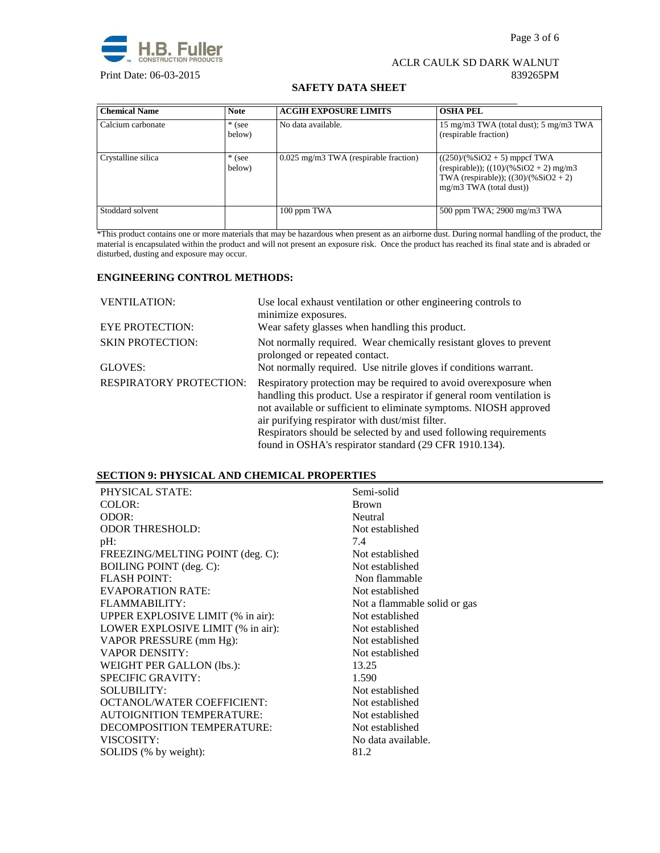

# **SAFETY DATA SHEET**

| <b>Chemical Name</b> | <b>Note</b>        | <b>ACGIH EXPOSURE LIMITS</b>          | <b>OSHA PEL</b>                                                                                                                                  |
|----------------------|--------------------|---------------------------------------|--------------------------------------------------------------------------------------------------------------------------------------------------|
| Calcium carbonate    | $*$ (see<br>below) | No data available.                    | 15 mg/m3 TWA (total dust); 5 mg/m3 TWA<br>(respirable fraction)                                                                                  |
| Crystalline silica   | $*$ (see<br>below) | 0.025 mg/m3 TWA (respirable fraction) | $((250)/(%SiO2 + 5)$ mppcf TWA<br>(respirable)); $((10)/(%SiO2 + 2)$ mg/m3<br>TWA (respirable)); $((30)/(%SiO2 + 2))$<br>mg/m3 TWA (total dust)) |
| Stoddard solvent     |                    | 100 ppm TWA                           | 500 ppm TWA; 2900 mg/m3 TWA                                                                                                                      |

\*This product contains one or more materials that may be hazardous when present as an airborne dust. During normal handling of the product, the material is encapsulated within the product and will not present an exposure risk. Once the product has reached its final state and is abraded or disturbed, dusting and exposure may occur.

# **ENGINEERING CONTROL METHODS:**

| <b>VENTILATION:</b>            | Use local exhaust ventilation or other engineering controls to<br>minimize exposures.                                                                                                                                                                                                                                                     |
|--------------------------------|-------------------------------------------------------------------------------------------------------------------------------------------------------------------------------------------------------------------------------------------------------------------------------------------------------------------------------------------|
| <b>EYE PROTECTION:</b>         | Wear safety glasses when handling this product.                                                                                                                                                                                                                                                                                           |
| <b>SKIN PROTECTION:</b>        | Not normally required. Wear chemically resistant gloves to prevent<br>prolonged or repeated contact.                                                                                                                                                                                                                                      |
| GLOVES:                        | Not normally required. Use nitrile gloves if conditions warrant.                                                                                                                                                                                                                                                                          |
| <b>RESPIRATORY PROTECTION:</b> | Respiratory protection may be required to avoid over exposure when<br>handling this product. Use a respirator if general room ventilation is<br>not available or sufficient to eliminate symptoms. NIOSH approved<br>air purifying respirator with dust/mist filter.<br>Respirators should be selected by and used following requirements |
|                                | found in OSHA's respirator standard (29 CFR 1910.134).                                                                                                                                                                                                                                                                                    |

# **SECTION 9: PHYSICAL AND CHEMICAL PROPERTIES**

| PHYSICAL STATE:                   | Semi-solid                   |
|-----------------------------------|------------------------------|
| COLOR:                            | <b>Brown</b>                 |
| ODOR:                             | Neutral                      |
| <b>ODOR THRESHOLD:</b>            | Not established              |
| pH:                               | 7.4                          |
| FREEZING/MELTING POINT (deg. C):  | Not established              |
| <b>BOILING POINT</b> (deg. C):    | Not established              |
| <b>FLASH POINT:</b>               | Non flammable                |
| <b>EVAPORATION RATE:</b>          | Not established              |
| FLAMMABILITY:                     | Not a flammable solid or gas |
| UPPER EXPLOSIVE LIMIT (% in air): | Not established              |
| LOWER EXPLOSIVE LIMIT (% in air): | Not established              |
| VAPOR PRESSURE (mm Hg):           | Not established              |
| <b>VAPOR DENSITY:</b>             | Not established              |
| WEIGHT PER GALLON (lbs.):         | 13.25                        |
| <b>SPECIFIC GRAVITY:</b>          | 1.590                        |
| <b>SOLUBILITY:</b>                | Not established              |
| <b>OCTANOL/WATER COEFFICIENT:</b> | Not established              |
| <b>AUTOIGNITION TEMPERATURE:</b>  | Not established              |
| DECOMPOSITION TEMPERATURE:        | Not established              |
| VISCOSITY:                        | No data available.           |
| SOLIDS (% by weight):             | 81.2                         |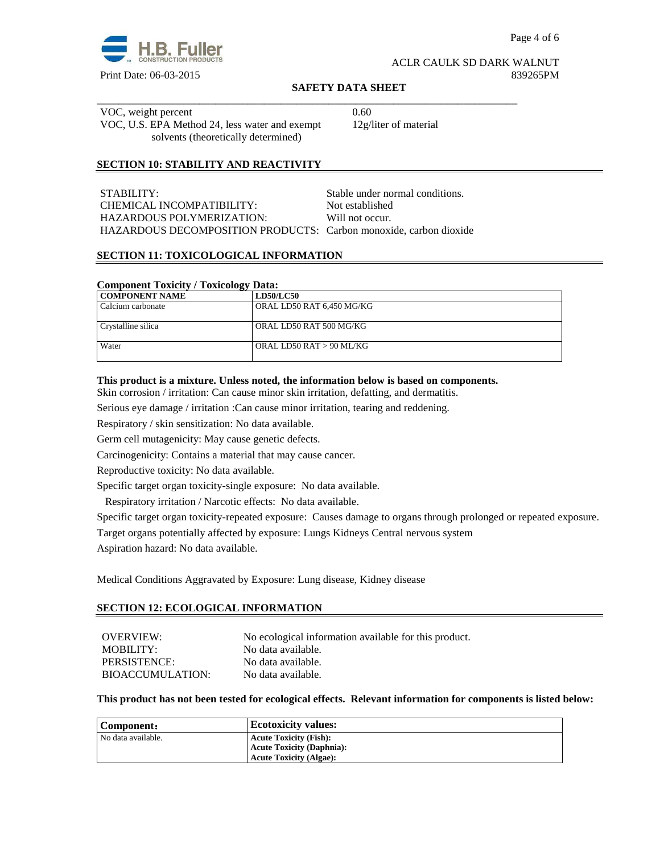

#### **SAFETY DATA SHEET**

\_\_\_\_\_\_\_\_\_\_\_\_\_\_\_\_\_\_\_\_\_\_\_\_\_\_\_\_\_\_\_\_\_\_\_\_\_\_\_\_\_\_\_\_\_\_\_\_\_\_\_\_\_\_\_\_\_\_\_\_\_\_\_\_\_\_\_\_\_\_\_\_\_\_\_\_\_\_ VOC, weight percent 0.60 VOC, U.S. EPA Method 24, less water and exempt solvents (theoretically determined)

12g/liter of material

# **SECTION 10: STABILITY AND REACTIVITY**

| STABILITY:                                                        | Stable under normal conditions. |
|-------------------------------------------------------------------|---------------------------------|
| CHEMICAL INCOMPATIBILITY:                                         | Not established                 |
| HAZARDOUS POLYMERIZATION:                                         | Will not occur.                 |
| HAZARDOUS DECOMPOSITION PRODUCTS: Carbon monoxide, carbon dioxide |                                 |

#### **SECTION 11: TOXICOLOGICAL INFORMATION**

### **Component Toxicity / Toxicology Data:**

| COMPONENT NAME     | <b>LD50/LC50</b>          |
|--------------------|---------------------------|
| Calcium carbonate  | ORAL LD50 RAT 6,450 MG/KG |
|                    |                           |
| Crystalline silica | ORAL LD50 RAT 500 MG/KG   |
|                    |                           |
| Water              | ORAL LD50 RAT > 90 ML/KG  |
|                    |                           |

#### **This product is a mixture. Unless noted, the information below is based on components.**

Skin corrosion / irritation: Can cause minor skin irritation, defatting, and dermatitis.

Serious eye damage / irritation :Can cause minor irritation, tearing and reddening.

Respiratory / skin sensitization: No data available.

Germ cell mutagenicity: May cause genetic defects.

Carcinogenicity: Contains a material that may cause cancer.

Reproductive toxicity: No data available.

Specific target organ toxicity-single exposure:No data available.

Respiratory irritation / Narcotic effects: No data available.

Specific target organ toxicity-repeated exposure:Causes damage to organs through prolonged or repeated exposure.

Target organs potentially affected by exposure: Lungs Kidneys Central nervous system

Aspiration hazard: No data available.

Medical Conditions Aggravated by Exposure: Lung disease, Kidney disease

#### **SECTION 12: ECOLOGICAL INFORMATION**

| OVERVIEW:        | No ecological information available for this product. |
|------------------|-------------------------------------------------------|
| MOBILITY:        | No data available.                                    |
| PERSISTENCE:     | No data available.                                    |
| BIOACCUMULATION: | No data available.                                    |

#### **This product has not been tested for ecological effects. Relevant information for components is listed below:**

| Component:         | <b>Ecotoxicity values:</b>       |
|--------------------|----------------------------------|
| No data available. | <b>Acute Toxicity (Fish):</b>    |
|                    | <b>Acute Toxicity (Daphnia):</b> |
|                    | <b>Acute Toxicity (Algae):</b>   |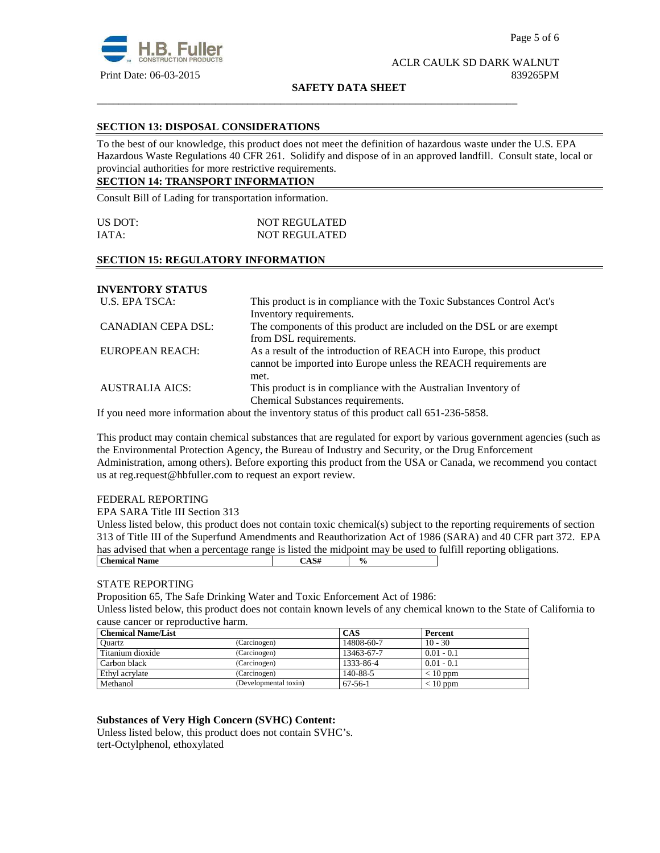

**SAFETY DATA SHEET**

\_\_\_\_\_\_\_\_\_\_\_\_\_\_\_\_\_\_\_\_\_\_\_\_\_\_\_\_\_\_\_\_\_\_\_\_\_\_\_\_\_\_\_\_\_\_\_\_\_\_\_\_\_\_\_\_\_\_\_\_\_\_\_\_\_\_\_\_\_\_\_\_\_\_\_\_\_\_

# **SECTION 13: DISPOSAL CONSIDERATIONS**

To the best of our knowledge, this product does not meet the definition of hazardous waste under the U.S. EPA Hazardous Waste Regulations 40 CFR 261. Solidify and dispose of in an approved landfill. Consult state, local or provincial authorities for more restrictive requirements.

# **SECTION 14: TRANSPORT INFORMATION**

Consult Bill of Lading for transportation information.

| US DOT: | <b>NOT REGULATED</b> |  |
|---------|----------------------|--|
| IATA:   | <b>NOT REGULATED</b> |  |

# **SECTION 15: REGULATORY INFORMATION**

**INVENTORY STATUS** 

| U.S. EPA TSCA:         | This product is in compliance with the Toxic Substances Control Act's |  |
|------------------------|-----------------------------------------------------------------------|--|
|                        | Inventory requirements.                                               |  |
| CANADIAN CEPA DSL:     | The components of this product are included on the DSL or are exempt  |  |
|                        | from DSL requirements.                                                |  |
| EUROPEAN REACH:        | As a result of the introduction of REACH into Europe, this product    |  |
|                        | cannot be imported into Europe unless the REACH requirements are      |  |
|                        | met.                                                                  |  |
| <b>AUSTRALIA AICS:</b> | This product is in compliance with the Australian Inventory of        |  |
|                        | Chemical Substances requirements.                                     |  |

If you need more information about the inventory status of this product call 651-236-5858.

This product may contain chemical substances that are regulated for export by various government agencies (such as the Environmental Protection Agency, the Bureau of Industry and Security, or the Drug Enforcement Administration, among others). Before exporting this product from the USA or Canada, we recommend you contact us at reg.request@hbfuller.com to request an export review.

## FEDERAL REPORTING

EPA SARA Title III Section 313

Unless listed below, this product does not contain toxic chemical(s) subject to the reporting requirements of section 313 of Title III of the Superfund Amendments and Reauthorization Act of 1986 (SARA) and 40 CFR part 372. EPA has advised that when a percentage range is listed the midpoint may be used to fulfill reporting obligations. **Chemical Name**  $\begin{array}{|c|c|c|c|} \hline \text{CAS#} & \varphi_0 & \text{CAS}^+ \\\hline \end{array}$ 

## STATE REPORTING

Proposition 65, The Safe Drinking Water and Toxic Enforcement Act of 1986:

Unless listed below, this product does not contain known levels of any chemical known to the State of California to cause cancer or reproductive harm.

| <b>Chemical Name/List</b> |                       | <b>CAS</b> | Percent      |
|---------------------------|-----------------------|------------|--------------|
| Ouartz                    | (Carcinogen)          | 14808-60-7 | $10 - 30$    |
| Titanium dioxide          | (Carcinogen)          | 13463-67-7 | $0.01 - 0.1$ |
| Carbon black              | (Carcinogen)          | 1333-86-4  | $0.01 - 0.1$ |
| Ethyl acrylate            | (Carcinogen)          | 140-88-5   | $< 10$ ppm   |
| Methanol                  | (Developmental toxin) | $67-56-1$  | $< 10$ ppm   |

## **Substances of Very High Concern (SVHC) Content:**

Unless listed below, this product does not contain SVHC's. tert-Octylphenol, ethoxylated